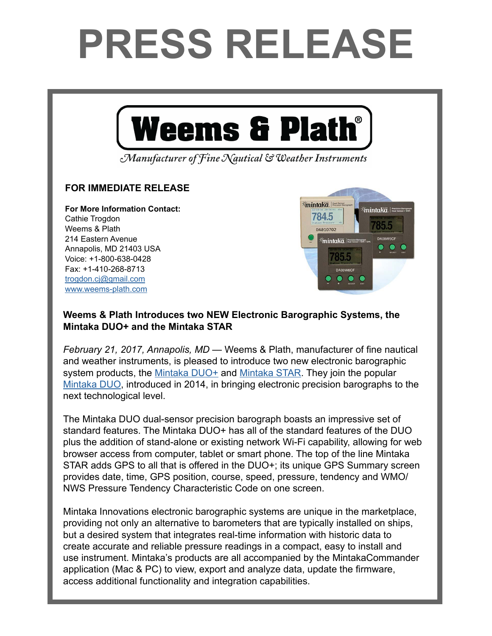## **PRESS RELEASE**



## **Weems & Plath Introduces two NEW Electronic Barographic Systems, the Mintaka DUO+ and the Mintaka STAR**

*February 21, 2017, Annapolis, MD* — Weems & Plath, manufacturer of fine nautical and weather instruments, is pleased to introduce two new electronic barographic system products, the [Mintaka DUO+](http://www.weems-plath.com/Products/Barometers-1/Mintaka-Duo-Plus.html) and [Mintaka STAR.](http://www.weems-plath.com/Products/Barometers-1/Mintaka-STAR-w-WIFI-GPS.html) They join the popular [Mintaka DUO,](http://www.weems-plath.com/Products/Barometers-1/Mintaka.html) introduced in 2014, in bringing electronic precision barographs to the next technological level.

The Mintaka DUO dual-sensor precision barograph boasts an impressive set of standard features. The Mintaka DUO+ has all of the standard features of the DUO plus the addition of stand-alone or existing network Wi-Fi capability, allowing for web browser access from computer, tablet or smart phone. The top of the line Mintaka STAR adds GPS to all that is offered in the DUO+; its unique GPS Summary screen provides date, time, GPS position, course, speed, pressure, tendency and WMO/ NWS Pressure Tendency Characteristic Code on one screen.

Mintaka Innovations electronic barographic systems are unique in the marketplace, providing not only an alternative to barometers that are typically installed on ships, but a desired system that integrates real-time information with historic data to create accurate and reliable pressure readings in a compact, easy to install and use instrument. Mintaka's products are all accompanied by the MintakaCommander application (Mac & PC) to view, export and analyze data, update the firmware, access additional functionality and integration capabilities.